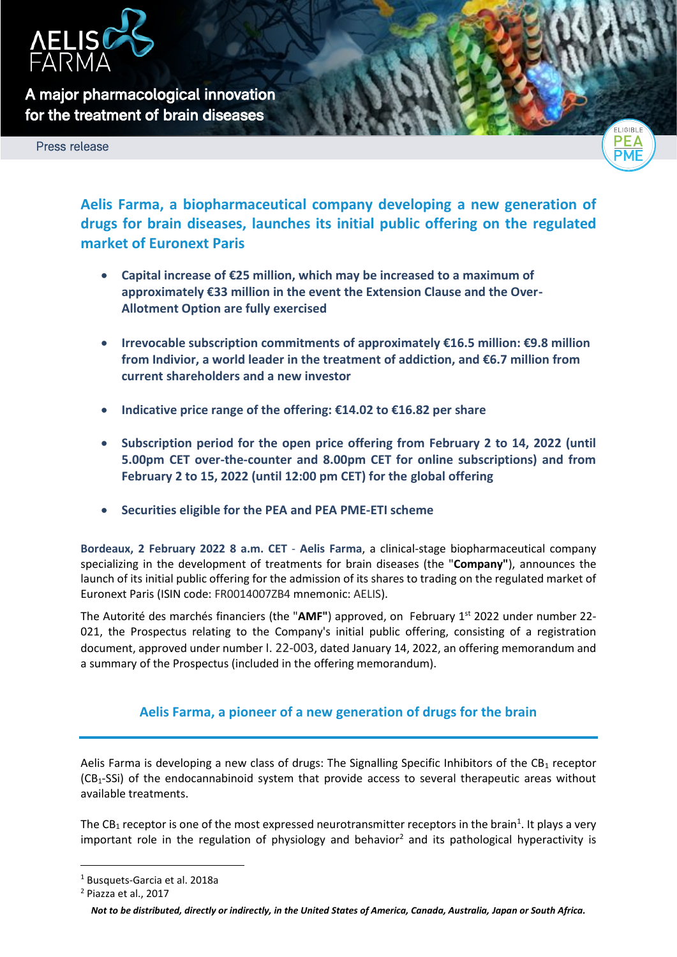

**A major pharmacological innovation for the treatment of brain diseases** 

Press release



**Aelis Farma, a biopharmaceutical company developing a new generation of drugs for brain diseases, launches its initial public offering on the regulated market of Euronext Paris**

- **Capital increase of €25 million, which may be increased to a maximum of approximately €33 million in the event the Extension Clause and the Over-Allotment Option are fully exercised**
- **Irrevocable subscription commitments of approximately €16.5 million: €9.8 million from Indivior, a world leader in the treatment of addiction, and €6.7 million from current shareholders and a new investor**
- **Indicative price range of the offering: €14.02 to €16.82 per share**
- **Subscription period for the open price offering from February 2 to 14, 2022 (until 5.00pm CET over-the-counter and 8.00pm CET for online subscriptions) and from February 2 to 15, 2022 (until 12:00 pm CET) for the global offering**
- **Securities eligible for the PEA and PEA PME-ETI scheme**

**Bordeaux, 2 February 2022 8 a.m. CET** - **Aelis Farma**, a clinical-stage biopharmaceutical company specializing in the development of treatments for brain diseases (the "**Company"**), announces the launch of its initial public offering for the admission of its shares to trading on the regulated market of Euronext Paris (ISIN code: FR0014007ZB4 mnemonic: AELIS).

The Autorité des marchés financiers (the "AMF") approved, on February 1<sup>st</sup> 2022 under number 22-021, the Prospectus relating to the Company's initial public offering, consisting of a registration document, approved under number I. 22-003, dated January 14, 2022, an offering memorandum and a summary of the Prospectus (included in the offering memorandum).

# **Aelis Farma, a pioneer of a new generation of drugs for the brain**

Aelis Farma is developing a new class of drugs: The Signalling Specific Inhibitors of the  $CB<sub>1</sub>$  receptor  $(CB<sub>1</sub>-SSi)$  of the endocannabinoid system that provide access to several therapeutic areas without available treatments.

The CB<sub>1</sub> receptor is one of the most expressed neurotransmitter receptors in the brain<sup>1</sup>. It plays a very important role in the regulation of physiology and behavior<sup>2</sup> and its pathological hyperactivity is

<sup>1</sup> Busquets-Garcia et al. 2018a

<sup>2</sup> Piazza et al., 2017

*Not to be distributed, directly or indirectly, in the United States of America, Canada, Australia, Japan or South Africa.*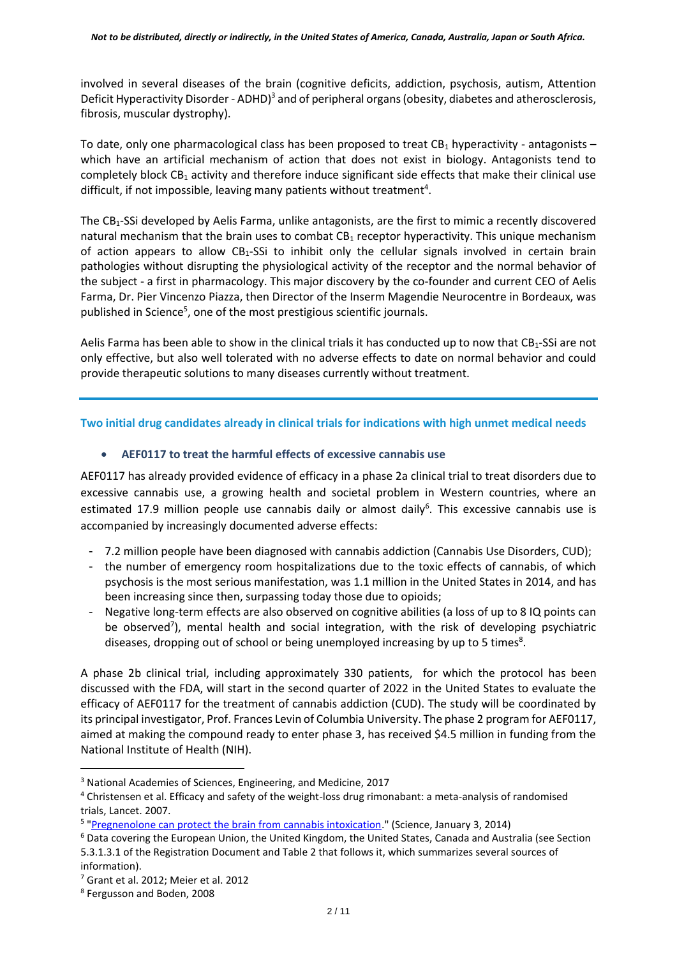involved in several diseases of the brain (cognitive deficits, addiction, psychosis, autism, Attention Deficit Hyperactivity Disorder - ADHD)<sup>3</sup> and of peripheral organs (obesity, diabetes and atherosclerosis, fibrosis, muscular dystrophy).

To date, only one pharmacological class has been proposed to treat  $CB<sub>1</sub>$  hyperactivity - antagonists – which have an artificial mechanism of action that does not exist in biology. Antagonists tend to completely block CB<sub>1</sub> activity and therefore induce significant side effects that make their clinical use difficult, if not impossible, leaving many patients without treatment<sup>4</sup>.

The CB1-SSi developed by Aelis Farma, unlike antagonists, are the first to mimic a recently discovered natural mechanism that the brain uses to combat  $CB_1$  receptor hyperactivity. This unique mechanism of action appears to allow  $CB_1$ -SSi to inhibit only the cellular signals involved in certain brain pathologies without disrupting the physiological activity of the receptor and the normal behavior of the subject - a first in pharmacology. This major discovery by the co-founder and current CEO of Aelis Farma, Dr. Pier Vincenzo Piazza, then Director of the Inserm Magendie Neurocentre in Bordeaux, was published in Science<sup>5</sup>, one of the most prestigious scientific journals.

Aelis Farma has been able to show in the clinical trials it has conducted up to now that  $CB_1-SSi$  are not only effective, but also well tolerated with no adverse effects to date on normal behavior and could provide therapeutic solutions to many diseases currently without treatment.

**Two initial drug candidates already in clinical trials for indications with high unmet medical needs**

# • **AEF0117 to treat the harmful effects of excessive cannabis use**

AEF0117 has already provided evidence of efficacy in a phase 2a clinical trial to treat disorders due to excessive cannabis use, a growing health and societal problem in Western countries, where an estimated 17.9 million people use cannabis daily or almost daily<sup>6</sup>. This excessive cannabis use is accompanied by increasingly documented adverse effects:

- 7.2 million people have been diagnosed with cannabis addiction (Cannabis Use Disorders, CUD);
- the number of emergency room hospitalizations due to the toxic effects of cannabis, of which psychosis is the most serious manifestation, was 1.1 million in the United States in 2014, and has been increasing since then, surpassing today those due to opioids;
- Negative long-term effects are also observed on cognitive abilities (a loss of up to 8 IQ points can be observed<sup>7</sup>), mental health and social integration, with the risk of developing psychiatric diseases, dropping out of school or being unemployed increasing by up to 5 times<sup>8</sup>.

A phase 2b clinical trial, including approximately 330 patients, for which the protocol has been discussed with the FDA, will start in the second quarter of 2022 in the United States to evaluate the efficacy of AEF0117 for the treatment of cannabis addiction (CUD). The study will be coordinated by its principal investigator, Prof. Frances Levin of Columbia University. The phase 2 program for AEF0117, aimed at making the compound ready to enter phase 3, has received \$4.5 million in funding from the National Institute of Health (NIH).

<sup>3</sup> National Academies of Sciences, Engineering, and Medicine, 2017

<sup>4</sup> Christensen et al. Efficacy and safety of the weight-loss drug rimonabant: a meta-analysis of randomised trials, Lancet. 2007.

<sup>&</sup>lt;sup>5</sup> ["Pregnenolone can protect the brain from cannabis intoxication.](https://science.sciencemag.org/content/343/6166/94)" (Science, January 3, 2014)

<sup>6</sup> Data covering the European Union, the United Kingdom, the United States, Canada and Australia (see Section 5.3.1.3.1 of the Registration Document and Table 2 that follows it, which summarizes several sources of information).

<sup>7</sup> Grant et al. 2012; Meier et al. 2012

<sup>8</sup> Fergusson and Boden, 2008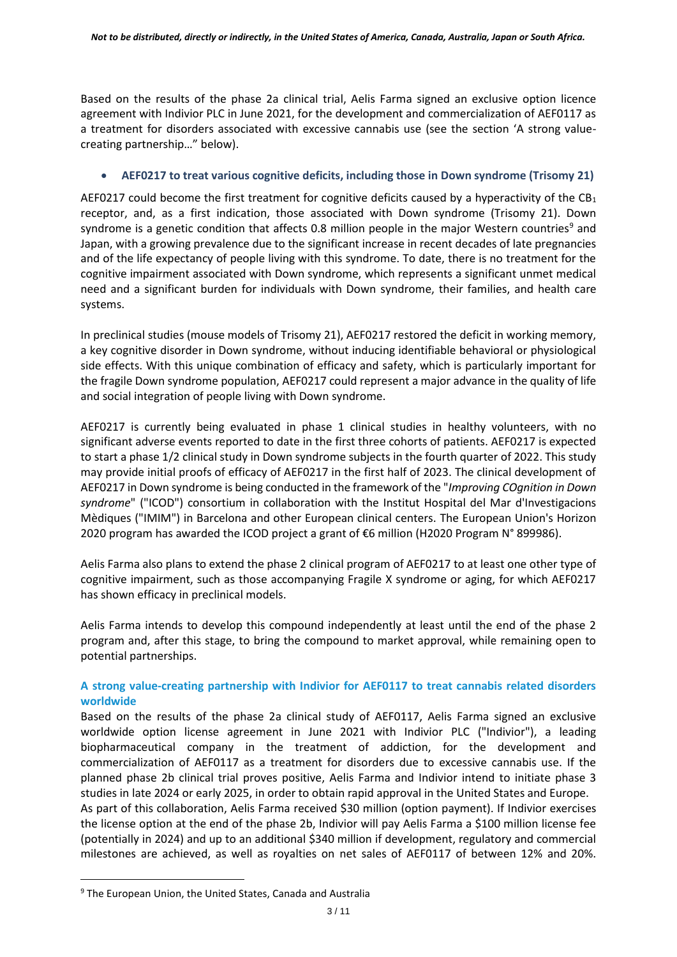Based on the results of the phase 2a clinical trial, Aelis Farma signed an exclusive option licence agreement with Indivior PLC in June 2021, for the development and commercialization of AEF0117 as a treatment for disorders associated with excessive cannabis use (see the section 'A strong valuecreating partnership…" below).

#### • **AEF0217 to treat various cognitive deficits, including those in Down syndrome (Trisomy 21)**

AEF0217 could become the first treatment for cognitive deficits caused by a hyperactivity of the  $CB<sub>1</sub>$ receptor, and, as a first indication, those associated with Down syndrome (Trisomy 21). Down syndrome is a genetic condition that affects 0.8 million people in the major Western countries<sup>9</sup> and Japan, with a growing prevalence due to the significant increase in recent decades of late pregnancies and of the life expectancy of people living with this syndrome. To date, there is no treatment for the cognitive impairment associated with Down syndrome, which represents a significant unmet medical need and a significant burden for individuals with Down syndrome, their families, and health care systems.

In preclinical studies (mouse models of Trisomy 21), AEF0217 restored the deficit in working memory, a key cognitive disorder in Down syndrome, without inducing identifiable behavioral or physiological side effects. With this unique combination of efficacy and safety, which is particularly important for the fragile Down syndrome population, AEF0217 could represent a major advance in the quality of life and social integration of people living with Down syndrome.

AEF0217 is currently being evaluated in phase 1 clinical studies in healthy volunteers, with no significant adverse events reported to date in the first three cohorts of patients. AEF0217 is expected to start a phase 1/2 clinical study in Down syndrome subjects in the fourth quarter of 2022. This study may provide initial proofs of efficacy of AEF0217 in the first half of 2023. The clinical development of AEF0217 in Down syndrome is being conducted in the framework of the "*Improving COgnition in Down syndrome*" ("ICOD") consortium in collaboration with the Institut Hospital del Mar d'Investigacions Mèdiques ("IMIM") in Barcelona and other European clinical centers. The European Union's Horizon 2020 program has awarded the ICOD project a grant of €6 million (H2020 Program N° 899986).

Aelis Farma also plans to extend the phase 2 clinical program of AEF0217 to at least one other type of cognitive impairment, such as those accompanying Fragile X syndrome or aging, for which AEF0217 has shown efficacy in preclinical models.

Aelis Farma intends to develop this compound independently at least until the end of the phase 2 program and, after this stage, to bring the compound to market approval, while remaining open to potential partnerships.

## **A strong value-creating partnership with Indivior for AEF0117 to treat cannabis related disorders worldwide**

Based on the results of the phase 2a clinical study of AEF0117, Aelis Farma signed an exclusive worldwide option license agreement in June 2021 with Indivior PLC ("Indivior"), a leading biopharmaceutical company in the treatment of addiction, for the development and commercialization of AEF0117 as a treatment for disorders due to excessive cannabis use. If the planned phase 2b clinical trial proves positive, Aelis Farma and Indivior intend to initiate phase 3 studies in late 2024 or early 2025, in order to obtain rapid approval in the United States and Europe.

As part of this collaboration, Aelis Farma received \$30 million (option payment). If Indivior exercises the license option at the end of the phase 2b, Indivior will pay Aelis Farma a \$100 million license fee (potentially in 2024) and up to an additional \$340 million if development, regulatory and commercial milestones are achieved, as well as royalties on net sales of AEF0117 of between 12% and 20%.

<sup>&</sup>lt;sup>9</sup> The European Union, the United States, Canada and Australia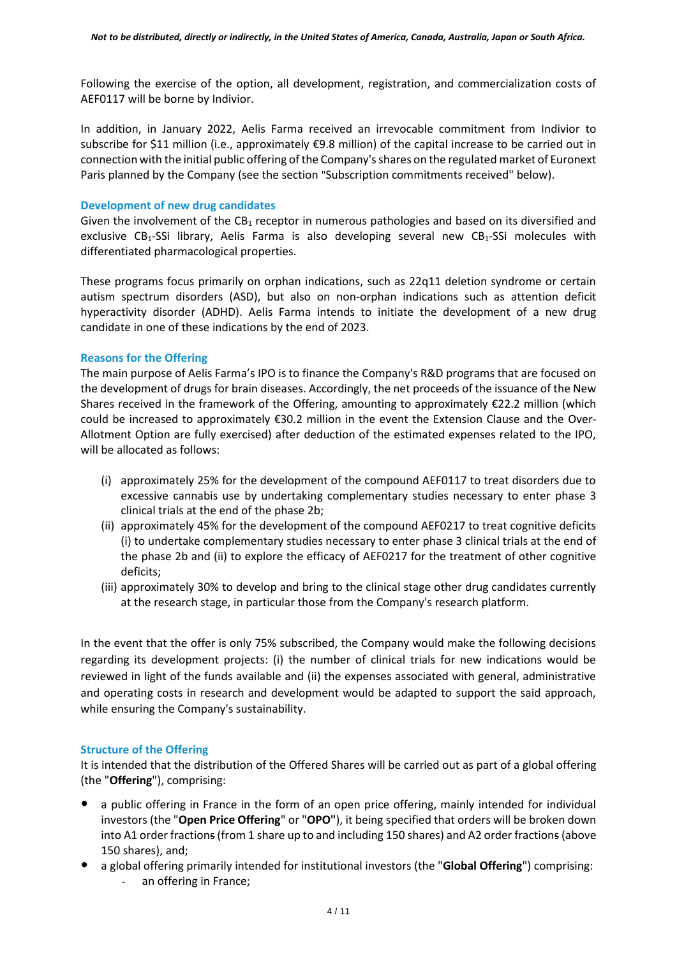Following the exercise of the option, all development, registration, and commercialization costs of AEF0117 will be borne by Indivior.

In addition, in January 2022, Aelis Farma received an irrevocable commitment from Indivior to subscribe for \$11 million (i.e., approximately €9.8 million) of the capital increase to be carried out in connection with the initial public offering of the Company's shares on the regulated market of Euronext Paris planned by the Company (see the section "Subscription commitments received" below).

### **Development of new drug candidates**

Given the involvement of the  $CB_1$  receptor in numerous pathologies and based on its diversified and exclusive CB<sub>1</sub>-SSi library, Aelis Farma is also developing several new CB<sub>1</sub>-SSi molecules with differentiated pharmacological properties.

These programs focus primarily on orphan indications, such as 22q11 deletion syndrome or certain autism spectrum disorders (ASD), but also on non-orphan indications such as attention deficit hyperactivity disorder (ADHD). Aelis Farma intends to initiate the development of a new drug candidate in one of these indications by the end of 2023.

## **Reasons for the Offering**

The main purpose of Aelis Farma's IPO is to finance the Company's R&D programs that are focused on the development of drugs for brain diseases. Accordingly, the net proceeds of the issuance of the New Shares received in the framework of the Offering, amounting to approximately €22.2 million (which could be increased to approximately €30.2 million in the event the Extension Clause and the Over-Allotment Option are fully exercised) after deduction of the estimated expenses related to the IPO, will be allocated as follows:

- (i) approximately 25% for the development of the compound AEF0117 to treat disorders due to excessive cannabis use by undertaking complementary studies necessary to enter phase 3 clinical trials at the end of the phase 2b;
- (ii) approximately 45% for the development of the compound AEF0217 to treat cognitive deficits (i) to undertake complementary studies necessary to enter phase 3 clinical trials at the end of the phase 2b and (ii) to explore the efficacy of AEF0217 for the treatment of other cognitive deficits;
- (iii) approximately 30% to develop and bring to the clinical stage other drug candidates currently at the research stage, in particular those from the Company's research platform.

In the event that the offer is only 75% subscribed, the Company would make the following decisions regarding its development projects: (i) the number of clinical trials for new indications would be reviewed in light of the funds available and (ii) the expenses associated with general, administrative and operating costs in research and development would be adapted to support the said approach, while ensuring the Company's sustainability.

# **Structure of the Offering**

It is intended that the distribution of the Offered Shares will be carried out as part of a global offering (the "**Offering**"), comprising:

- a public offering in France in the form of an open price offering, mainly intended for individual investors (the "**Open Price Offering**" or "**OPO"**), it being specified that orders will be broken down into A1 order fractions(from 1 share up to and including 150 shares) and A2 order fractions (above 150 shares), and;
- a global offering primarily intended for institutional investors (the "**Global Offering**") comprising: an offering in France;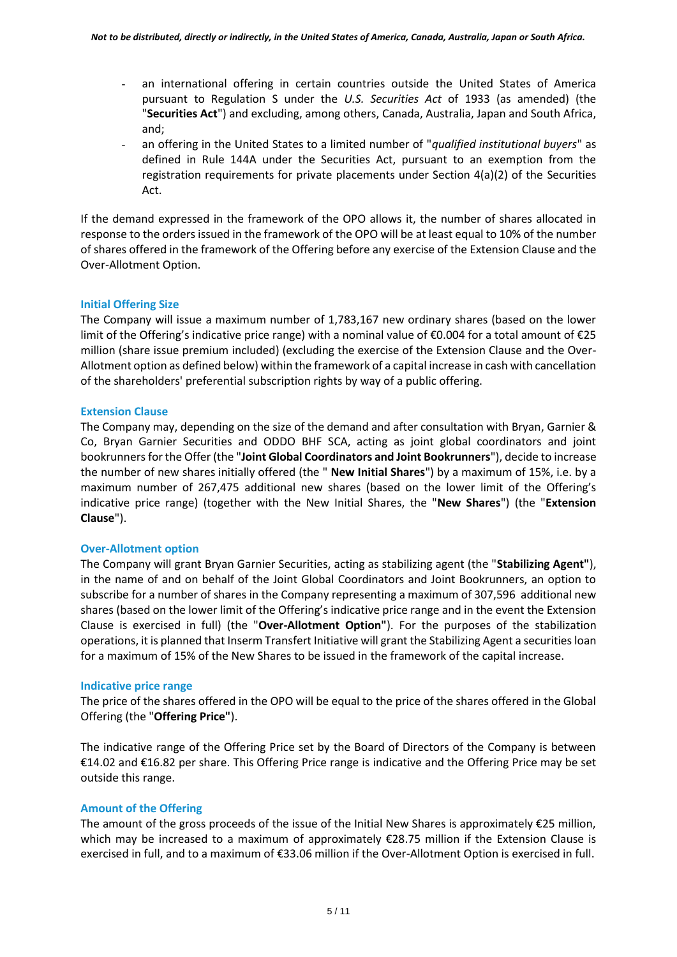- an international offering in certain countries outside the United States of America pursuant to Regulation S under the *U.S. Securities Act* of 1933 (as amended) (the "**Securities Act**") and excluding, among others, Canada, Australia, Japan and South Africa, and;
- an offering in the United States to a limited number of "*qualified institutional buyers*" as defined in Rule 144A under the Securities Act, pursuant to an exemption from the registration requirements for private placements under Section 4(a)(2) of the Securities Act.

If the demand expressed in the framework of the OPO allows it, the number of shares allocated in response to the orders issued in the framework of the OPO will be at least equal to 10% of the number of shares offered in the framework of the Offering before any exercise of the Extension Clause and the Over-Allotment Option.

# **Initial Offering Size**

The Company will issue a maximum number of 1,783,167 new ordinary shares (based on the lower limit of the Offering's indicative price range) with a nominal value of €0.004 for a total amount of €25 million (share issue premium included) (excluding the exercise of the Extension Clause and the Over-Allotment option as defined below) within the framework of a capital increase in cash with cancellation of the shareholders' preferential subscription rights by way of a public offering.

## **Extension Clause**

The Company may, depending on the size of the demand and after consultation with Bryan, Garnier & Co, Bryan Garnier Securities and ODDO BHF SCA, acting as joint global coordinators and joint bookrunners for the Offer (the "**Joint Global Coordinators and Joint Bookrunners**"), decide to increase the number of new shares initially offered (the " **New Initial Shares**") by a maximum of 15%, i.e. by a maximum number of 267,475 additional new shares (based on the lower limit of the Offering's indicative price range) (together with the New Initial Shares, the "**New Shares**") (the "**Extension Clause**").

# **Over-Allotment option**

The Company will grant Bryan Garnier Securities, acting as stabilizing agent (the "**Stabilizing Agent"**), in the name of and on behalf of the Joint Global Coordinators and Joint Bookrunners, an option to subscribe for a number of shares in the Company representing a maximum of 307,596 additional new shares (based on the lower limit of the Offering's indicative price range and in the event the Extension Clause is exercised in full) (the "**Over-Allotment Option"**). For the purposes of the stabilization operations, it is planned that Inserm Transfert Initiative will grant the Stabilizing Agent a securities loan for a maximum of 15% of the New Shares to be issued in the framework of the capital increase.

#### **Indicative price range**

The price of the shares offered in the OPO will be equal to the price of the shares offered in the Global Offering (the "**Offering Price"**).

The indicative range of the Offering Price set by the Board of Directors of the Company is between €14.02 and €16.82 per share. This Offering Price range is indicative and the Offering Price may be set outside this range.

# **Amount of the Offering**

The amount of the gross proceeds of the issue of the Initial New Shares is approximately  $\epsilon$ 25 million, which may be increased to a maximum of approximately €28.75 million if the Extension Clause is exercised in full, and to a maximum of €33.06 million if the Over-Allotment Option is exercised in full.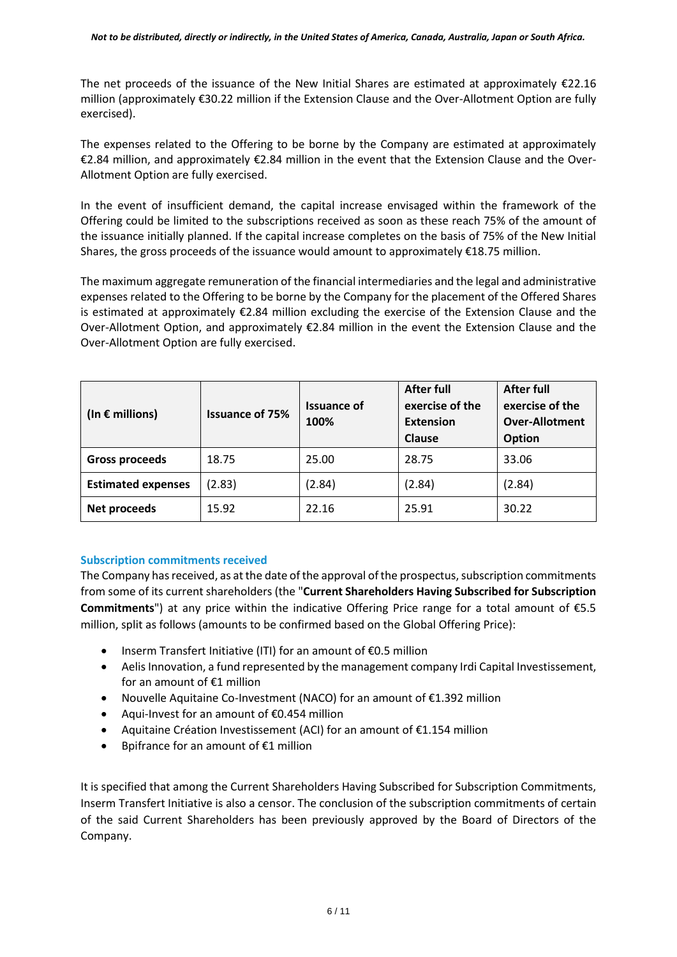The net proceeds of the issuance of the New Initial Shares are estimated at approximately  $\epsilon$ 22.16 million (approximately €30.22 million if the Extension Clause and the Over-Allotment Option are fully exercised).

The expenses related to the Offering to be borne by the Company are estimated at approximately €2.84 million, and approximately €2.84 million in the event that the Extension Clause and the Over-Allotment Option are fully exercised.

In the event of insufficient demand, the capital increase envisaged within the framework of the Offering could be limited to the subscriptions received as soon as these reach 75% of the amount of the issuance initially planned. If the capital increase completes on the basis of 75% of the New Initial Shares, the gross proceeds of the issuance would amount to approximately  $£18.75$  million.

The maximum aggregate remuneration of the financial intermediaries and the legal and administrative expenses related to the Offering to be borne by the Company for the placement of the Offered Shares is estimated at approximately €2.84 million excluding the exercise of the Extension Clause and the Over-Allotment Option, and approximately €2.84 million in the event the Extension Clause and the Over-Allotment Option are fully exercised.

| (In $\epsilon$ millions)  | <b>Issuance of 75%</b> | <b>Issuance of</b><br>100% | <b>After full</b><br>exercise of the<br><b>Extension</b><br>Clause | <b>After full</b><br>exercise of the<br><b>Over-Allotment</b><br>Option |
|---------------------------|------------------------|----------------------------|--------------------------------------------------------------------|-------------------------------------------------------------------------|
| <b>Gross proceeds</b>     | 18.75                  | 25.00                      | 28.75                                                              | 33.06                                                                   |
| <b>Estimated expenses</b> | (2.83)                 | (2.84)                     | (2.84)                                                             | (2.84)                                                                  |
| Net proceeds              | 15.92                  | 22.16                      | 25.91                                                              | 30.22                                                                   |

# **Subscription commitments received**

The Company has received, as at the date of the approval of the prospectus, subscription commitments from some of its current shareholders (the "**Current Shareholders Having Subscribed for Subscription Commitments**") at any price within the indicative Offering Price range for a total amount of €5.5 million, split as follows (amounts to be confirmed based on the Global Offering Price):

- Inserm Transfert Initiative (ITI) for an amount of €0.5 million
- Aelis Innovation, a fund represented by the management company Irdi Capital Investissement, for an amount of €1 million
- Nouvelle Aquitaine Co-Investment (NACO) for an amount of €1.392 million
- Aqui-Invest for an amount of €0.454 million
- Aquitaine Création Investissement (ACI) for an amount of €1.154 million
- Bpifrance for an amount of €1 million

It is specified that among the Current Shareholders Having Subscribed for Subscription Commitments, Inserm Transfert Initiative is also a censor. The conclusion of the subscription commitments of certain of the said Current Shareholders has been previously approved by the Board of Directors of the Company.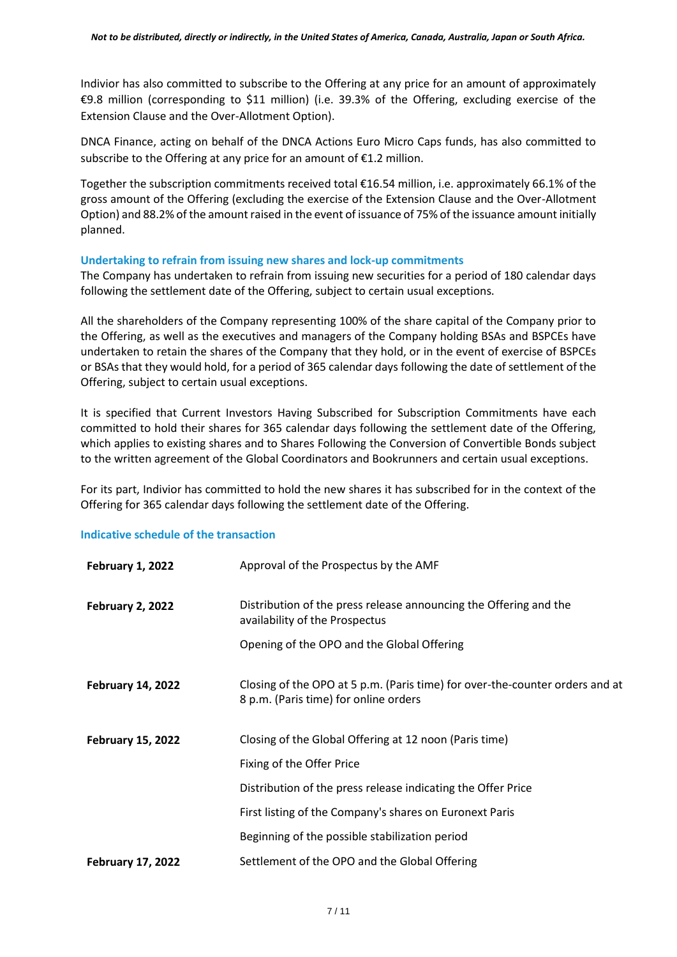Indivior has also committed to subscribe to the Offering at any price for an amount of approximately €9.8 million (corresponding to \$11 million) (i.e. 39.3% of the Offering, excluding exercise of the Extension Clause and the Over-Allotment Option).

DNCA Finance, acting on behalf of the DNCA Actions Euro Micro Caps funds, has also committed to subscribe to the Offering at any price for an amount of  $E1.2$  million.

Together the subscription commitments received total €16.54 million, i.e. approximately 66.1% of the gross amount of the Offering (excluding the exercise of the Extension Clause and the Over-Allotment Option) and 88.2% of the amount raised in the event of issuance of 75% of the issuance amount initially planned.

## **Undertaking to refrain from issuing new shares and lock-up commitments**

The Company has undertaken to refrain from issuing new securities for a period of 180 calendar days following the settlement date of the Offering, subject to certain usual exceptions.

All the shareholders of the Company representing 100% of the share capital of the Company prior to the Offering, as well as the executives and managers of the Company holding BSAs and BSPCEs have undertaken to retain the shares of the Company that they hold, or in the event of exercise of BSPCEs or BSAs that they would hold, for a period of 365 calendar days following the date of settlement of the Offering, subject to certain usual exceptions.

It is specified that Current Investors Having Subscribed for Subscription Commitments have each committed to hold their shares for 365 calendar days following the settlement date of the Offering, which applies to existing shares and to Shares Following the Conversion of Convertible Bonds subject to the written agreement of the Global Coordinators and Bookrunners and certain usual exceptions.

For its part, Indivior has committed to hold the new shares it has subscribed for in the context of the Offering for 365 calendar days following the settlement date of the Offering.

#### **Indicative schedule of the transaction**

| <b>February 1, 2022</b>  | Approval of the Prospectus by the AMF                                                                                 |  |
|--------------------------|-----------------------------------------------------------------------------------------------------------------------|--|
| <b>February 2, 2022</b>  | Distribution of the press release announcing the Offering and the<br>availability of the Prospectus                   |  |
|                          | Opening of the OPO and the Global Offering                                                                            |  |
| <b>February 14, 2022</b> | Closing of the OPO at 5 p.m. (Paris time) for over-the-counter orders and at<br>8 p.m. (Paris time) for online orders |  |
| <b>February 15, 2022</b> | Closing of the Global Offering at 12 noon (Paris time)                                                                |  |
|                          | Fixing of the Offer Price                                                                                             |  |
|                          | Distribution of the press release indicating the Offer Price                                                          |  |
|                          | First listing of the Company's shares on Euronext Paris                                                               |  |
|                          | Beginning of the possible stabilization period                                                                        |  |
| <b>February 17, 2022</b> | Settlement of the OPO and the Global Offering                                                                         |  |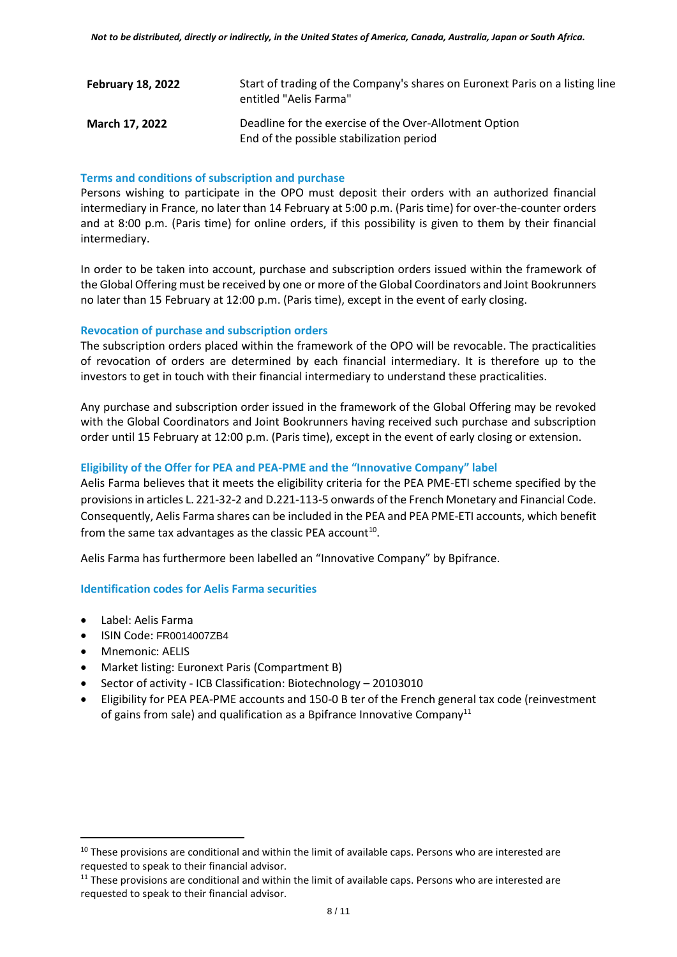| <b>February 18, 2022</b> | Start of trading of the Company's shares on Euronext Paris on a listing line<br>entitled "Aelis Farma" |
|--------------------------|--------------------------------------------------------------------------------------------------------|
| <b>March 17, 2022</b>    | Deadline for the exercise of the Over-Allotment Option<br>End of the possible stabilization period     |

### **Terms and conditions of subscription and purchase**

Persons wishing to participate in the OPO must deposit their orders with an authorized financial intermediary in France, no later than 14 February at 5:00 p.m. (Paris time) for over-the-counter orders and at 8:00 p.m. (Paris time) for online orders, if this possibility is given to them by their financial intermediary.

In order to be taken into account, purchase and subscription orders issued within the framework of the Global Offering must be received by one or more of the Global Coordinators and Joint Bookrunners no later than 15 February at 12:00 p.m. (Paris time), except in the event of early closing.

## **Revocation of purchase and subscription orders**

The subscription orders placed within the framework of the OPO will be revocable. The practicalities of revocation of orders are determined by each financial intermediary. It is therefore up to the investors to get in touch with their financial intermediary to understand these practicalities.

Any purchase and subscription order issued in the framework of the Global Offering may be revoked with the Global Coordinators and Joint Bookrunners having received such purchase and subscription order until 15 February at 12:00 p.m. (Paris time), except in the event of early closing or extension.

## **Eligibility of the Offer for PEA and PEA-PME and the "Innovative Company" label**

Aelis Farma believes that it meets the eligibility criteria for the PEA PME-ETI scheme specified by the provisions in articles L. 221-32-2 and D.221-113-5 onwards of the French Monetary and Financial Code. Consequently, Aelis Farma shares can be included in the PEA and PEA PME-ETI accounts, which benefit from the same tax advantages as the classic PEA account<sup>10</sup>.

Aelis Farma has furthermore been labelled an "Innovative Company" by Bpifrance.

#### **Identification codes for Aelis Farma securities**

- Label: Aelis Farma
- ISIN Code: FR0014007ZB4
- Mnemonic: AELIS
- Market listing: Euronext Paris (Compartment B)
- Sector of activity ICB Classification: Biotechnology 20103010
- Eligibility for PEA PEA-PME accounts and 150-0 B ter of the French general tax code (reinvestment of gains from sale) and qualification as a Bpifrance Innovative Company<sup>11</sup>

<sup>&</sup>lt;sup>10</sup> These provisions are conditional and within the limit of available caps. Persons who are interested are requested to speak to their financial advisor.

 $11$  These provisions are conditional and within the limit of available caps. Persons who are interested are requested to speak to their financial advisor.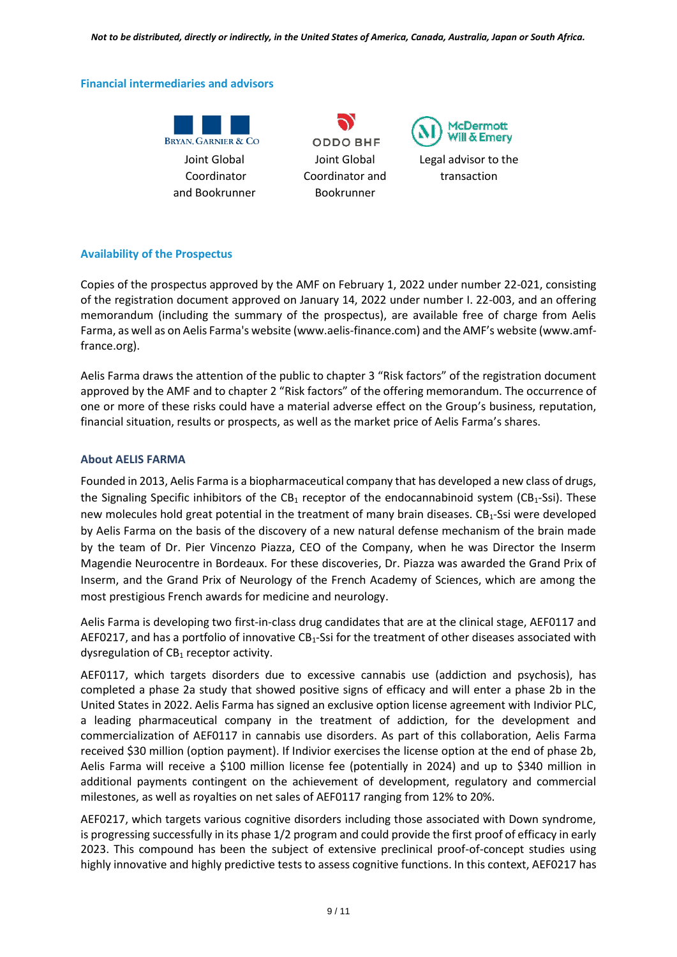*Not to be distributed, directly or indirectly, in the United States of America, Canada, Australia, Japan or South Africa.*

### **Financial intermediaries and advisors**



**ODDO BHF** Joint Global Coordinator and Bookrunner



Legal advisor to the transaction

# **Availability of the Prospectus**

Copies of the prospectus approved by the AMF on February 1, 2022 under number 22-021, consisting of the registration document approved on January 14, 2022 under number I. 22-003, and an offering memorandum (including the summary of the prospectus), are available free of charge from Aelis Farma, as well as on Aelis Farma's website (www.aelis-finance.com) and the AMF's website (www.amffrance.org).

Aelis Farma draws the attention of the public to chapter 3 "Risk factors" of the registration document approved by the AMF and to chapter 2 "Risk factors" of the offering memorandum. The occurrence of one or more of these risks could have a material adverse effect on the Group's business, reputation, financial situation, results or prospects, as well as the market price of Aelis Farma's shares.

# **About AELIS FARMA**

Founded in 2013, Aelis Farma is a biopharmaceutical company that has developed a new class of drugs, the Signaling Specific inhibitors of the CB<sub>1</sub> receptor of the endocannabinoid system (CB<sub>1</sub>-Ssi). These new molecules hold great potential in the treatment of many brain diseases. CB1-Ssi were developed by Aelis Farma on the basis of the discovery of a new natural defense mechanism of the brain made by the team of Dr. Pier Vincenzo Piazza, CEO of the Company, when he was Director the Inserm Magendie Neurocentre in Bordeaux. For these discoveries, Dr. Piazza was awarded the Grand Prix of Inserm, and the Grand Prix of Neurology of the French Academy of Sciences, which are among the most prestigious French awards for medicine and neurology.

Aelis Farma is developing two first-in-class drug candidates that are at the clinical stage, AEF0117 and AEF0217, and has a portfolio of innovative  $CB_1$ -Ssi for the treatment of other diseases associated with dysregulation of  $CB_1$  receptor activity.

AEF0117, which targets disorders due to excessive cannabis use (addiction and psychosis), has completed a phase 2a study that showed positive signs of efficacy and will enter a phase 2b in the United States in 2022. Aelis Farma has signed an exclusive option license agreement with Indivior PLC, a leading pharmaceutical company in the treatment of addiction, for the development and commercialization of AEF0117 in cannabis use disorders. As part of this collaboration, Aelis Farma received \$30 million (option payment). If Indivior exercises the license option at the end of phase 2b, Aelis Farma will receive a \$100 million license fee (potentially in 2024) and up to \$340 million in additional payments contingent on the achievement of development, regulatory and commercial milestones, as well as royalties on net sales of AEF0117 ranging from 12% to 20%.

AEF0217, which targets various cognitive disorders including those associated with Down syndrome, is progressing successfully in its phase 1/2 program and could provide the first proof of efficacy in early 2023. This compound has been the subject of extensive preclinical proof-of-concept studies using highly innovative and highly predictive tests to assess cognitive functions. In this context, AEF0217 has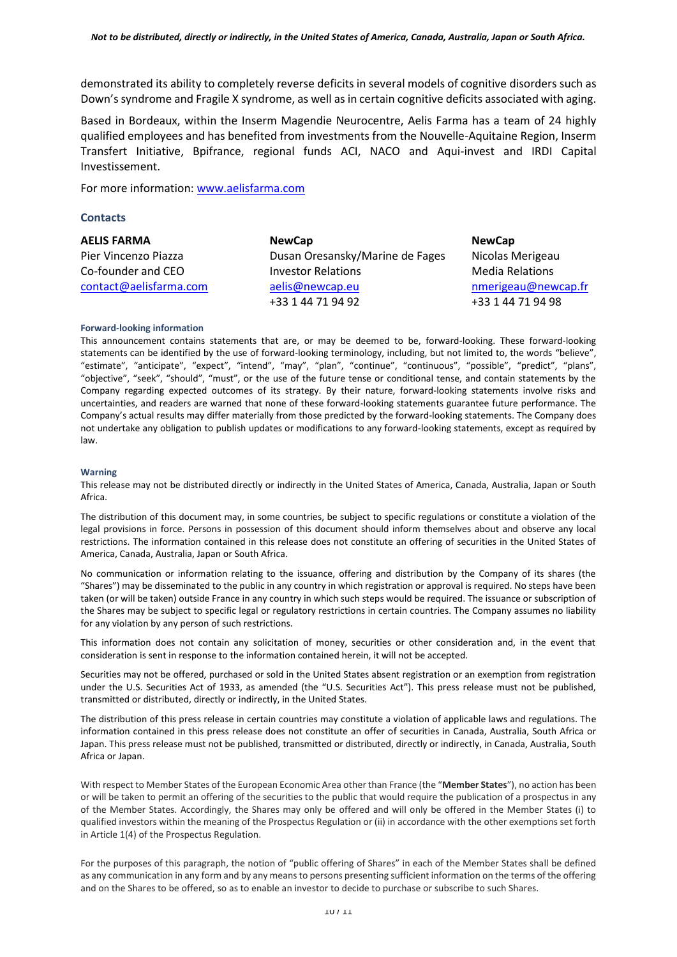demonstrated its ability to completely reverse deficits in several models of cognitive disorders such as Down's syndrome and Fragile X syndrome, as well as in certain cognitive deficits associated with aging.

Based in Bordeaux, within the Inserm Magendie Neurocentre, Aelis Farma has a team of 24 highly qualified employees and has benefited from investments from the Nouvelle-Aquitaine Region, Inserm Transfert Initiative, Bpifrance, regional funds ACI, NACO and Aqui-invest and IRDI Capital Investissement.

For more information: [www.aelisfarma.com](http://www.aelisfarma.com/)

#### **Contacts**

**AELIS FARMA** Pier Vincenzo Piazza Co-founder and CEO [contact@aelisfarma.com](mailto:contact@aelisfarma.com) **NewCap** Dusan Oresansky/Marine de Fages Investor Relations [aelis@newcap.eu](mailto:aelis@newcap.eu) +33 1 44 71 94 92

**NewCap** Nicolas Merigeau Media Relations [nmerigeau@newcap.fr](mailto:nmerigeau@newcap.fr) +33 1 44 71 94 98

#### **Forward-looking information**

This announcement contains statements that are, or may be deemed to be, forward-looking. These forward-looking statements can be identified by the use of forward-looking terminology, including, but not limited to, the words "believe", "estimate", "anticipate", "expect", "intend", "may", "plan", "continue", "continuous", "possible", "predict", "plans", "objective", "seek", "should", "must", or the use of the future tense or conditional tense, and contain statements by the Company regarding expected outcomes of its strategy. By their nature, forward-looking statements involve risks and uncertainties, and readers are warned that none of these forward-looking statements guarantee future performance. The Company's actual results may differ materially from those predicted by the forward-looking statements. The Company does not undertake any obligation to publish updates or modifications to any forward-looking statements, except as required by law.

#### **Warning**

This release may not be distributed directly or indirectly in the United States of America, Canada, Australia, Japan or South Africa.

The distribution of this document may, in some countries, be subject to specific regulations or constitute a violation of the legal provisions in force. Persons in possession of this document should inform themselves about and observe any local restrictions. The information contained in this release does not constitute an offering of securities in the United States of America, Canada, Australia, Japan or South Africa.

No communication or information relating to the issuance, offering and distribution by the Company of its shares (the "Shares") may be disseminated to the public in any country in which registration or approval is required. No steps have been taken (or will be taken) outside France in any country in which such steps would be required. The issuance or subscription of the Shares may be subject to specific legal or regulatory restrictions in certain countries. The Company assumes no liability for any violation by any person of such restrictions.

This information does not contain any solicitation of money, securities or other consideration and, in the event that consideration is sent in response to the information contained herein, it will not be accepted.

Securities may not be offered, purchased or sold in the United States absent registration or an exemption from registration under the U.S. Securities Act of 1933, as amended (the "U.S. Securities Act"). This press release must not be published, transmitted or distributed, directly or indirectly, in the United States.

The distribution of this press release in certain countries may constitute a violation of applicable laws and regulations. The information contained in this press release does not constitute an offer of securities in Canada, Australia, South Africa or Japan. This press release must not be published, transmitted or distributed, directly or indirectly, in Canada, Australia, South Africa or Japan.

With respect to Member States of the European Economic Area other than France (the "**Member States**"), no action has been or will be taken to permit an offering of the securities to the public that would require the publication of a prospectus in any of the Member States. Accordingly, the Shares may only be offered and will only be offered in the Member States (i) to qualified investors within the meaning of the Prospectus Regulation or (ii) in accordance with the other exemptions set forth in Article 1(4) of the Prospectus Regulation.

For the purposes of this paragraph, the notion of "public offering of Shares" in each of the Member States shall be defined as any communication in any form and by any means to persons presenting sufficient information on the terms of the offering and on the Shares to be offered, so as to enable an investor to decide to purchase or subscribe to such Shares.